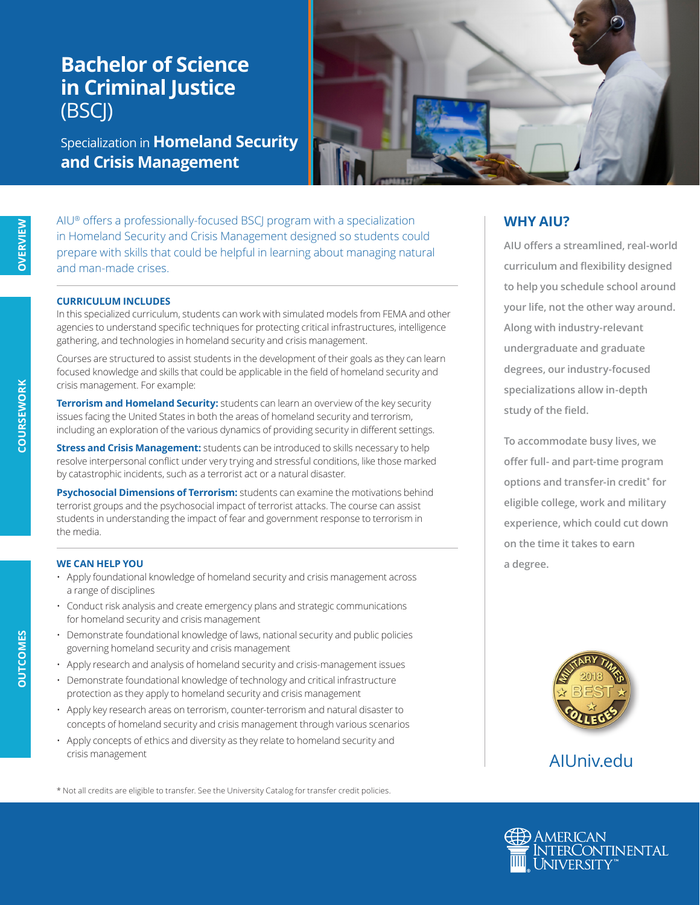# **Bachelor of Science in Criminal Justice** (BSCJ)

Specialization in **Homeland Security and Crisis Management**



AIU® offers a professionally-focused BSCJ program with a specialization in Homeland Security and Crisis Management designed so students could prepare with skills that could be helpful in learning about managing natural and man-made crises.

#### **CURRICULUM INCLUDES**

In this specialized curriculum, students can work with simulated models from FEMA and other agencies to understand specific techniques for protecting critical infrastructures, intelligence gathering, and technologies in homeland security and crisis management.

Courses are structured to assist students in the development of their goals as they can learn focused knowledge and skills that could be applicable in the field of homeland security and crisis management. For example:

**Terrorism and Homeland Security:** students can learn an overview of the key security issues facing the United States in both the areas of homeland security and terrorism, including an exploration of the various dynamics of providing security in different settings.

**Stress and Crisis Management:** students can be introduced to skills necessary to help resolve interpersonal conflict under very trying and stressful conditions, like those marked by catastrophic incidents, such as a terrorist act or a natural disaster.

**Psychosocial Dimensions of Terrorism:** students can examine the motivations behind terrorist groups and the psychosocial impact of terrorist attacks. The course can assist students in understanding the impact of fear and government response to terrorism in the media.

#### **WE CAN HELP YOU**

- Apply foundational knowledge of homeland security and crisis management across a range of disciplines
- Conduct risk analysis and create emergency plans and strategic communications for homeland security and crisis management
- Demonstrate foundational knowledge of laws, national security and public policies governing homeland security and crisis management
- Apply research and analysis of homeland security and crisis-management issues
- Demonstrate foundational knowledge of technology and critical infrastructure protection as they apply to homeland security and crisis management
- Apply key research areas on terrorism, counter-terrorism and natural disaster to concepts of homeland security and crisis management through various scenarios
- Apply concepts of ethics and diversity as they relate to homeland security and crisis management

\* Not all credits are eligible to transfer. See the University Catalog for transfer credit policies.

## **WHY AIU?**

**AIU offers a streamlined, real-world curriculum and flexibility designed to help you schedule school around your life, not the other way around. Along with industry-relevant undergraduate and graduate degrees, our industry-focused specializations allow in-depth study of the field.**

**To accommodate busy lives, we offer full- and part-time program options and transfer-in credit\* for eligible college, work and military experience, which could cut down on the time it takes to earn a degree.**



# AIUniv.edu